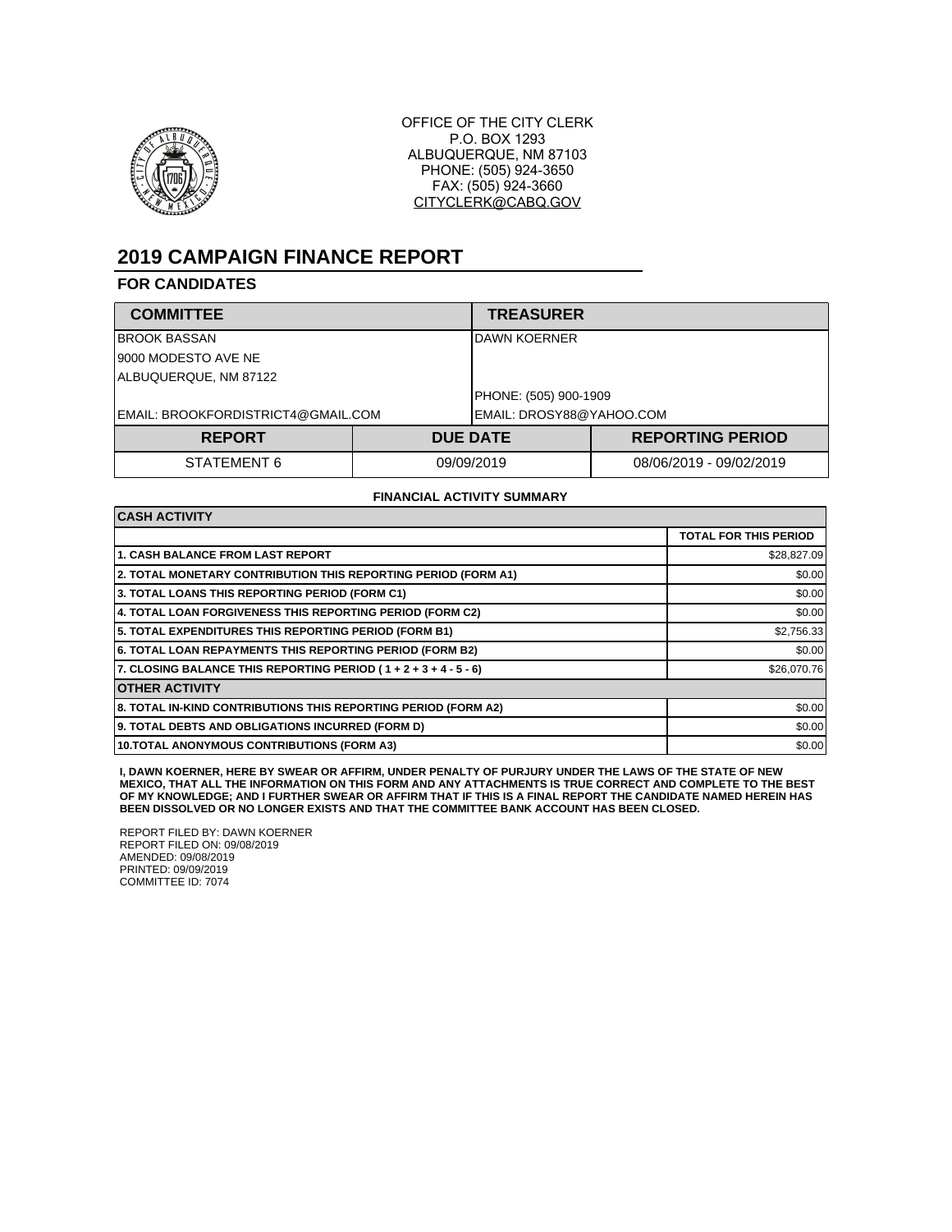

OFFICE OF THE CITY CLERK P.O. BOX 1293 ALBUQUERQUE, NM 87103 PHONE: (505) 924-3650 FAX: (505) 924-3660 CITYCLERK@CABQ.GOV

## **2019 CAMPAIGN FINANCE REPORT**

## **FOR CANDIDATES**

| <b>COMMITTEE</b>                   |            | <b>TREASURER</b>         |                         |  |
|------------------------------------|------------|--------------------------|-------------------------|--|
| <b>BROOK BASSAN</b>                |            | DAWN KOERNER             |                         |  |
| 9000 MODESTO AVE NE                |            |                          |                         |  |
| ALBUQUERQUE, NM 87122              |            |                          |                         |  |
|                                    |            | PHONE: (505) 900-1909    |                         |  |
| EMAIL: BROOKFORDISTRICT4@GMAIL.COM |            | EMAIL: DROSY88@YAHOO.COM |                         |  |
| <b>REPORT</b>                      |            | <b>DUE DATE</b>          | <b>REPORTING PERIOD</b> |  |
| STATEMENT 6                        | 09/09/2019 |                          | 08/06/2019 - 09/02/2019 |  |

## **FINANCIAL ACTIVITY SUMMARY**

| <b>CASH ACTIVITY</b>                                           |                              |  |  |  |
|----------------------------------------------------------------|------------------------------|--|--|--|
|                                                                | <b>TOTAL FOR THIS PERIOD</b> |  |  |  |
| <b>1. CASH BALANCE FROM LAST REPORT</b>                        | \$28,827.09                  |  |  |  |
| 2. TOTAL MONETARY CONTRIBUTION THIS REPORTING PERIOD (FORM A1) | \$0.00                       |  |  |  |
| 3. TOTAL LOANS THIS REPORTING PERIOD (FORM C1)                 | \$0.00                       |  |  |  |
| 4. TOTAL LOAN FORGIVENESS THIS REPORTING PERIOD (FORM C2)      | \$0.00                       |  |  |  |
| 5. TOTAL EXPENDITURES THIS REPORTING PERIOD (FORM B1)          | \$2,756.33                   |  |  |  |
| 6. TOTAL LOAN REPAYMENTS THIS REPORTING PERIOD (FORM B2)       | \$0.00                       |  |  |  |
| 7. CLOSING BALANCE THIS REPORTING PERIOD (1+2+3+4-5-6)         | \$26,070.76                  |  |  |  |
| <b>OTHER ACTIVITY</b>                                          |                              |  |  |  |
| 8. TOTAL IN-KIND CONTRIBUTIONS THIS REPORTING PERIOD (FORM A2) | \$0.00                       |  |  |  |
| 9. TOTAL DEBTS AND OBLIGATIONS INCURRED (FORM D)               | \$0.00                       |  |  |  |
| <b>10.TOTAL ANONYMOUS CONTRIBUTIONS (FORM A3)</b>              | \$0.00                       |  |  |  |

**I, DAWN KOERNER, HERE BY SWEAR OR AFFIRM, UNDER PENALTY OF PURJURY UNDER THE LAWS OF THE STATE OF NEW MEXICO, THAT ALL THE INFORMATION ON THIS FORM AND ANY ATTACHMENTS IS TRUE CORRECT AND COMPLETE TO THE BEST OF MY KNOWLEDGE; AND I FURTHER SWEAR OR AFFIRM THAT IF THIS IS A FINAL REPORT THE CANDIDATE NAMED HEREIN HAS BEEN DISSOLVED OR NO LONGER EXISTS AND THAT THE COMMITTEE BANK ACCOUNT HAS BEEN CLOSED.**

REPORT FILED BY: DAWN KOERNER REPORT FILED ON: 09/08/2019 AMENDED: 09/08/2019 PRINTED: 09/09/2019 COMMITTEE ID: 7074